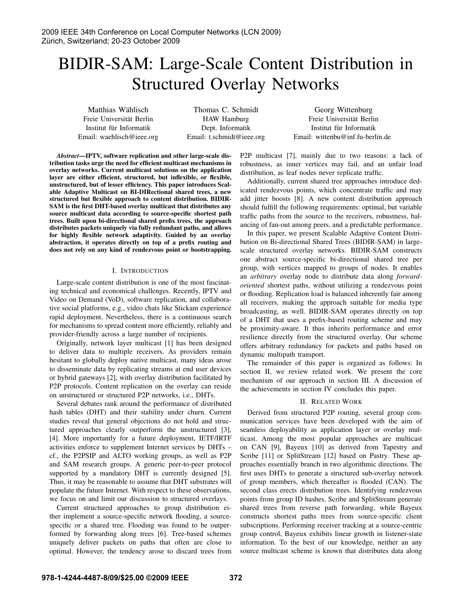# BIDIR-SAM: Large-Scale Content Distribution in Structured Overlay Networks

Matthias Wahlisch ¨ Freie Universitat Berlin ¨ Institut für Informatik Email: waehlisch@ieee.org

Thomas C. Schmidt HAW Hamburg Dept. Informatik Email: t.schmidt@ieee.org

Georg Wittenburg Freie Universität Berlin Institut für Informatik Email: wittenbu@inf.fu-berlin.de

*Abstract*—IPTV, software replication and other large-scale distribution tasks urge the need for efficient multicast mechanisms in overlay networks. Current multicast solutions on the application layer are either efficient, structured, but inflexible, or flexible, unstructured, but of lesser efficiency. This paper introduces Scalable Adaptive Multicast on BI-DIRectional shared trees, a new structured but flexible approach to content distribution. BIDIR-SAM is the first DHT-based overlay multicast that distributes any source multicast data according to source-specific shortest path trees. Built upon bi-directional shared prefix trees, the approach distributes packets uniquely via fully redundant paths, and allows for highly flexible network adaptivity. Guided by an overlay abstraction, it operates directly on top of a prefix routing and does not rely on any kind of rendezvous point or bootstrapping.

# I. INTRODUCTION

Large-scale content distribution is one of the most fascinating technical and economical challenges. Recently, IPTV and Video on Demand (VoD), software replication, and collaborative social platforms, e.g., video chats like Stickam experience rapid deployment. Nevertheless, there is a continuous search for mechanisms to spread content more efficiently, reliably and provider-friendly across a large number of recipients.

Originally, network layer multicast [1] has been designed to deliver data to multiple receivers. As providers remain hesitant to globally deploy native multicast, many ideas arose to disseminate data by replicating streams at end user devices or hybrid gateways [2], with overlay distribution facilitated by P2P protocols. Content replication on the overlay can reside on unstructured or structured P2P networks, i.e., DHTs.

Several debates rank around the performance of distributed hash tables (DHT) and their stability under churn. Current studies reveal that general objections do not hold and structured approaches clearly outperform the unstructured [3], [4]. More importantly for a future deployment, IETF/IRTF activities enforce to supplement Internet services by DHTs – cf., the P2PSIP and ALTO working groups, as well as P2P and SAM research groups. A generic peer-to-peer protocol supported by a mandatory DHT is currently designed [5]. Thus, it may be reasonable to assume that DHT substrates will populate the future Internet. With respect to these observations, we focus on and limit our discussion to structured overlays.

Current structured approaches to group distribution either implement a source-specific network flooding, a sourcespecific or a shared tree. Flooding was found to be outperformed by forwarding along trees [6]. Tree-based schemes uniquely deliver packets on paths that often are close to optimal. However, the tendency arose to discard trees from P2P multicast [7], mainly due to two reasons: a lack of robustness, as inner vertices may fail, and an unfair load distribution, as leaf nodes never replicate traffic.

Additionally, current shared tree approaches introduce dedicated rendezvous points, which concentrate traffic and may add jitter boosts [8]. A new content distribution approach should fulfill the following requirements: optimal, but variable traffic paths from the source to the receivers, robustness, balancing of fan-out among peers, and a predictable performance.

In this paper, we present Scalable Adaptive Content Distribution on Bi-directional Shared Trees (BIDIR-SAM) in largescale structured overlay networks. BIDIR-SAM constructs one abstract source-specific bi-directional shared tree per group, with vertices mapped to groups of nodes. It enables an *arbitrary* overlay node to distribute data along *forwardoriented* shortest paths, without utilizing a rendezvous point or flooding. Replication load is balanced inherently fair among all receivers, making the approach suitable for media type broadcasting, as well. BIDIR-SAM operates directly on top of a DHT that uses a prefix-based routing scheme and may be proximity-aware. It thus inherits performance and error resilience directly from the structured overlay. Our scheme offers arbitrary redundancy for packets and paths based on dynamic multipath transport.

The remainder of this paper is organized as follows: In section II, we review related work. We present the core mechanism of our approach in section III. A discussion of the achievements in section IV concludes this paper.

# II. RELATED WORK

Derived from structured P2P routing, several group communication services have been developed with the aim of seamless deployability as application layer or overlay multicast. Among the most popular approaches are multicast on CAN [9], Bayeux [10] as derived from Tapestry and Scribe [11] or SplitStream [12] based on Pastry. These approaches essentially branch in two algorithmic directions. The first uses DHTs to generate a structured sub-overlay network of group members, which thereafter is flooded (CAN). The second class erects distribution trees. Identifying rendezvous points from group ID hashes, Scribe and SplitStream generate shared trees from reverse path forwarding, while Bayeux constructs shortest paths trees from source-specific client subscriptions. Performing receiver tracking at a source-centric group control, Bayeux exhibits linear growth in listener-state information. To the best of our knowledge, neither an any source multicast scheme is known that distributes data along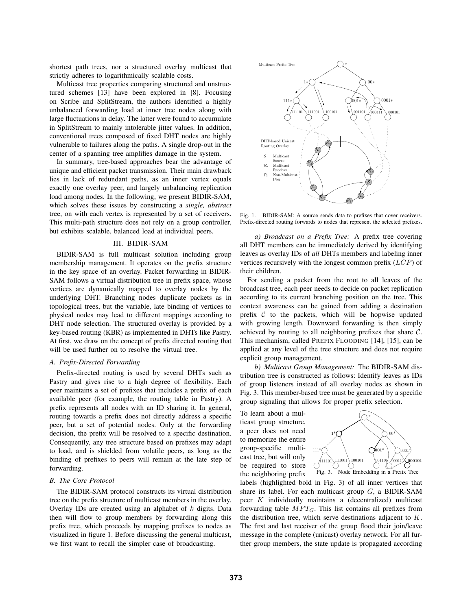shortest path trees, nor a structured overlay multicast that strictly adheres to logarithmically scalable costs.

Multicast tree properties comparing structured and unstructured schemes [13] have been explored in [8]. Focusing on Scribe and SplitStream, the authors identified a highly unbalanced forwarding load at inner tree nodes along with large fluctuations in delay. The latter were found to accumulate in SplitStream to mainly intolerable jitter values. In addition, conventional trees composed of fixed DHT nodes are highly vulnerable to failures along the paths. A single drop-out in the center of a spanning tree amplifies damage in the system.

In summary, tree-based approaches bear the advantage of unique and efficient packet transmission. Their main drawback lies in lack of redundant paths, as an inner vertex equals exactly one overlay peer, and largely unbalancing replication load among nodes. In the following, we present BIDIR-SAM, which solves these issues by constructing a *single, abstract* tree, on with each vertex is represented by a set of receivers. This multi-path structure does not rely on a group controller, but exhibits scalable, balanced load at individual peers.

#### III. BIDIR-SAM

BIDIR-SAM is full multicast solution including group membership management. It operates on the prefix structure in the key space of an overlay. Packet forwarding in BIDIR-SAM follows a virtual distribution tree in prefix space, whose vertices are dynamically mapped to overlay nodes by the underlying DHT. Branching nodes duplicate packets as in topological trees, but the variable, late binding of vertices to physical nodes may lead to different mappings according to DHT node selection. The structured overlay is provided by a key-based routing (KBR) as implemented in DHTs like Pastry. At first, we draw on the concept of prefix directed routing that will be used further on to resolve the virtual tree.

#### *A. Prefix-Directed Forwarding*

Prefix-directed routing is used by several DHTs such as Pastry and gives rise to a high degree of flexibility. Each peer maintains a set of prefixes that includes a prefix of each available peer (for example, the routing table in Pastry). A prefix represents all nodes with an ID sharing it. In general, routing towards a prefix does not directly address a specific peer, but a set of potential nodes. Only at the forwarding decision, the prefix will be resolved to a specific destination. Consequently, any tree structure based on prefixes may adapt to load, and is shielded from volatile peers, as long as the binding of prefixes to peers will remain at the late step of forwarding.

# *B. The Core Protocol*

The BIDIR-SAM protocol constructs its virtual distribution tree on the prefix structure of multicast members in the overlay. Overlay IDs are created using an alphabet of  $k$  digits. Data then will flow to group members by forwarding along this prefix tree, which proceeds by mapping prefixes to nodes as visualized in figure 1. Before discussing the general multicast, we first want to recall the simpler case of broadcasting.



Fig. 1. BIDIR-SAM: A source sends data to prefixes that cover receivers. Prefix-directed routing forwards to nodes that represent the selected prefixes.

*a) Broadcast on a Prefix Tree:* A prefix tree covering all DHT members can be immediately derived by identifying leaves as overlay IDs of *all* DHTs members and labeling inner vertices recursively with the longest common prefix  $(LCD)$  of their children.

For sending a packet from the root to all leaves of the broadcast tree, each peer needs to decide on packet replication according to its current branching position on the tree. This context awareness can be gained from adding a destination prefix  $C$  to the packets, which will be hopwise updated with growing length. Downward forwarding is then simply achieved by routing to all neighboring prefixes that share C. This mechanism, called PREFIX FLOODING [14], [15], can be applied at any level of the tree structure and does not require explicit group management.

*b) Multicast Group Management:* The BIDIR-SAM distribution tree is constructed as follows: Identify leaves as IDs of group listeners instead of all overlay nodes as shown in Fig. 3. This member-based tree must be generated by a specific group signaling that allows for proper prefix selection.

To learn about a multicast group structure, a peer does not need to memorize the entire group-specific multicast tree, but will only be required to store the neighboring prefix



labels (highlighted bold in Fig. 3) of all inner vertices that share its label. For each multicast group  $G$ , a BIDIR-SAM peer K individually maintains a (decentralized) multicast forwarding table  $MFT_G$ . This list contains all prefixes from the distribution tree, which serve destinations adjacent to  $K$ . The first and last receiver of the group flood their join/leave message in the complete (unicast) overlay network. For all further group members, the state update is propagated according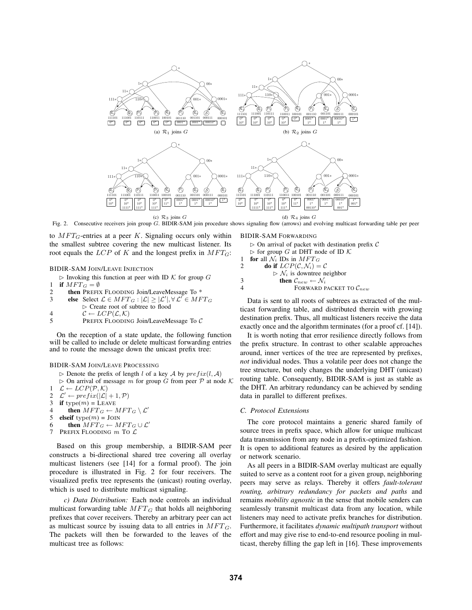

Fig. 2. Consecutive receivers join group G. BIDIR-SAM join procedure shows signaling flow (arrows) and evolving multicast forwarding table per peer

to  $MFT_G$ -entries at a peer K. Signaling occurs only within the smallest subtree covering the new multicast listener. Its root equals the  $LCP$  of K and the longest prefix in  $MFT_G$ :

BIDIR-SAM JOIN/LEAVE INJECTION

- $\triangleright$  Invoking this function at peer with ID K for group G
- 1 if  $MFT_G = \emptyset$ <br>2 then PREFIX
- then PREFIX FLOODING Join/LeaveMessage To \*
- 3 else Select  $\mathcal{L} \in MFT_G : |\mathcal{L}| \geq |\mathcal{L}'|, \forall \mathcal{L}' \in MFT_G$ ✄ Create root of subtree to flood
- 
- 4  $C \leftarrow LCP(\mathcal{L}, \mathcal{K})$ <br>5 PREFIX FLOODIN
- PREFIX FLOODING Join/LeaveMessage To C

On the reception of a state update, the following function will be called to include or delete multicast forwarding entries and to route the message down the unicast prefix tree:

#### BIDIR-SAM JOIN/LEAVE PROCESSING

- $\triangleright$  Denote the prefix of length l of a key A by  $prefix(l, A)$
- $\triangleright$  On arrival of message m for group G from peer  $\mathcal P$  at node  $\mathcal K$  $1 \mathcal{L} \leftarrow LCP(\mathcal{P}, \mathcal{K})$
- 2  $\mathcal{L}' \leftarrow prefix(|\mathcal{L}| + 1, \mathcal{P})$ <br>3 if type(*m*) = LEAVE
- 3 if type(m) = LEAVE<br>4 then  $MFT_C \leftarrow \emptyset$
- then  $MFT_G \leftarrow MFT_G \setminus \mathcal{L}'$
- 5 elseif  $type(m) = J$ OIN
- 6 then  $MFT_G \leftarrow MFT_G \cup \mathcal{L}'$
- 7 PREFIX FLOODING  $m$  To  $\mathcal L$

Based on this group membership, a BIDIR-SAM peer constructs a bi-directional shared tree covering all overlay multicast listeners (see [14] for a formal proof). The join procedure is illustrated in Fig. 2 for four receivers. The visualized prefix tree represents the (unicast) routing overlay, which is used to distribute multicast signaling.

*c) Data Distribution:* Each node controls an individual multicast forwarding table  $MFT_G$  that holds all neighboring prefixes that cover receivers. Thereby an arbitrary peer can act as multicast source by issuing data to all entries in  $MFT<sub>G</sub>$ . The packets will then be forwarded to the leaves of the multicast tree as follows:

#### BIDIR-SAM FORWARDING

 $\triangleright$  On arrival of packet with destination prefix C

- $\triangleright$  for group G at DHT node of ID K
- 1 for all  $\mathcal{N}_i$  IDs in  $MFT_G$ <br>2 do if  $LCP(C, \mathcal{N}_i)$ do if  $LCP(C, \mathcal{N}_i) = C$  $\triangleright \mathcal{N}_i$  is downtree neighbor
- 3 then  $\mathcal{C}_{new} \leftarrow \mathcal{N}_i$
- 4 **FORWARD PACKET TO**  $C_{new}$

Data is sent to all roots of subtrees as extracted of the multicast forwarding table, and distributed therein with growing destination prefix. Thus, all multicast listeners receive the data exactly once and the algorithm terminates (for a proof cf. [14]).

It is worth noting that error resilience directly follows from the prefix structure. In contrast to other scalable approaches around, inner vertices of the tree are represented by prefixes, *not* individual nodes. Thus a volatile peer does not change the tree structure, but only changes the underlying DHT (unicast) routing table. Consequently, BIDIR-SAM is just as stable as the DHT. An arbitrary redundancy can be achieved by sending data in parallel to different prefixes.

## *C. Protocol Extensions*

The core protocol maintains a generic shared family of source trees in prefix space, which allow for unique multicast data transmission from any node in a prefix-optimized fashion. It is open to additional features as desired by the application or network scenario.

As all peers in a BIDIR-SAM overlay multicast are equally suited to serve as a content root for a given group, neighboring peers may serve as relays. Thereby it offers *fault-tolerant routing, arbitrary redundancy for packets and paths* and remains *mobility agnostic* in the sense that mobile senders can seamlessly transmit multicast data from any location, while listeners may need to activate prefix branches for distribution. Furthermore, it facilitates *dynamic multipath transport* without effort and may give rise to end-to-end resource pooling in multicast, thereby filling the gap left in [16]. These improvements